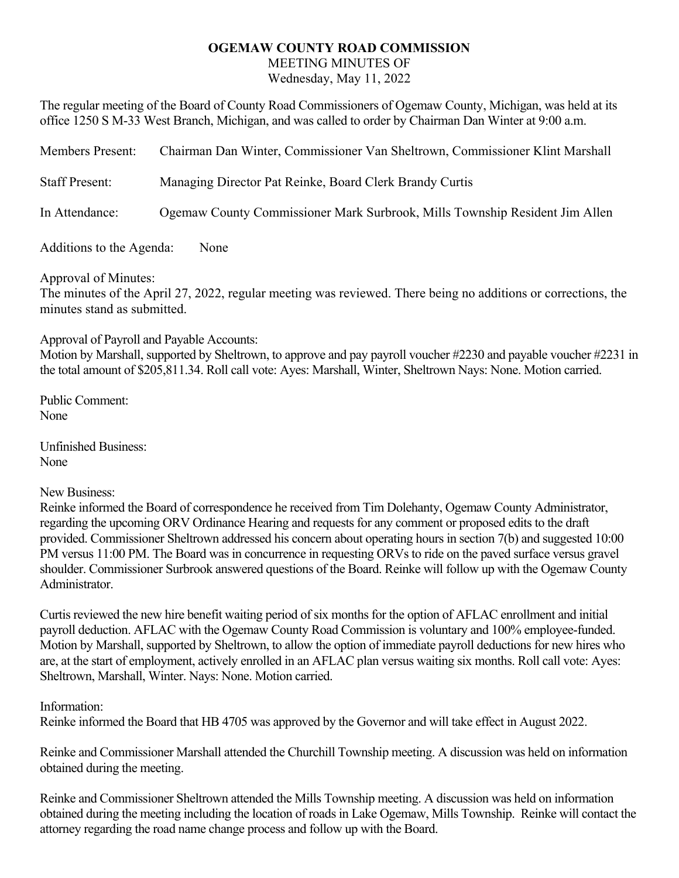## **OGEMAW COUNTY ROAD COMMISSION**  MEETING MINUTES OF

Wednesday, May 11, 2022

The regular meeting of the Board of County Road Commissioners of Ogemaw County, Michigan, was held at its office 1250 S M-33 West Branch, Michigan, and was called to order by Chairman Dan Winter at 9:00 a.m.

| <b>Members Present:</b> | Chairman Dan Winter, Commissioner Van Sheltrown, Commissioner Klint Marshall |
|-------------------------|------------------------------------------------------------------------------|
| <b>Staff Present:</b>   | Managing Director Pat Reinke, Board Clerk Brandy Curtis                      |
| In Attendance:          | Ogemaw County Commissioner Mark Surbrook, Mills Township Resident Jim Allen  |

Additions to the Agenda: None

Approval of Minutes:

The minutes of the April 27, 2022, regular meeting was reviewed. There being no additions or corrections, the minutes stand as submitted.

Approval of Payroll and Payable Accounts:

Motion by Marshall, supported by Sheltrown, to approve and pay payroll voucher #2230 and payable voucher #2231 in the total amount of \$205,811.34. Roll call vote: Ayes: Marshall, Winter, Sheltrown Nays: None. Motion carried.

Public Comment: None

Unfinished Business: None

## New Business:

Reinke informed the Board of correspondence he received from Tim Dolehanty, Ogemaw County Administrator, regarding the upcoming ORV Ordinance Hearing and requests for any comment or proposed edits to the draft provided. Commissioner Sheltrown addressed his concern about operating hours in section 7(b) and suggested 10:00 PM versus 11:00 PM. The Board was in concurrence in requesting ORVs to ride on the paved surface versus gravel shoulder. Commissioner Surbrook answered questions of the Board. Reinke will follow up with the Ogemaw County Administrator.

Curtis reviewed the new hire benefit waiting period of six months for the option of AFLAC enrollment and initial payroll deduction. AFLAC with the Ogemaw County Road Commission is voluntary and 100% employee-funded. Motion by Marshall, supported by Sheltrown, to allow the option of immediate payroll deductions for new hires who are, at the start of employment, actively enrolled in an AFLAC plan versus waiting six months. Roll call vote: Ayes: Sheltrown, Marshall, Winter. Nays: None. Motion carried.

Information:

Reinke informed the Board that HB 4705 was approved by the Governor and will take effect in August 2022.

Reinke and Commissioner Marshall attended the Churchill Township meeting. A discussion was held on information obtained during the meeting.

Reinke and Commissioner Sheltrown attended the Mills Township meeting. A discussion was held on information obtained during the meeting including the location of roads in Lake Ogemaw, Mills Township. Reinke will contact the attorney regarding the road name change process and follow up with the Board.